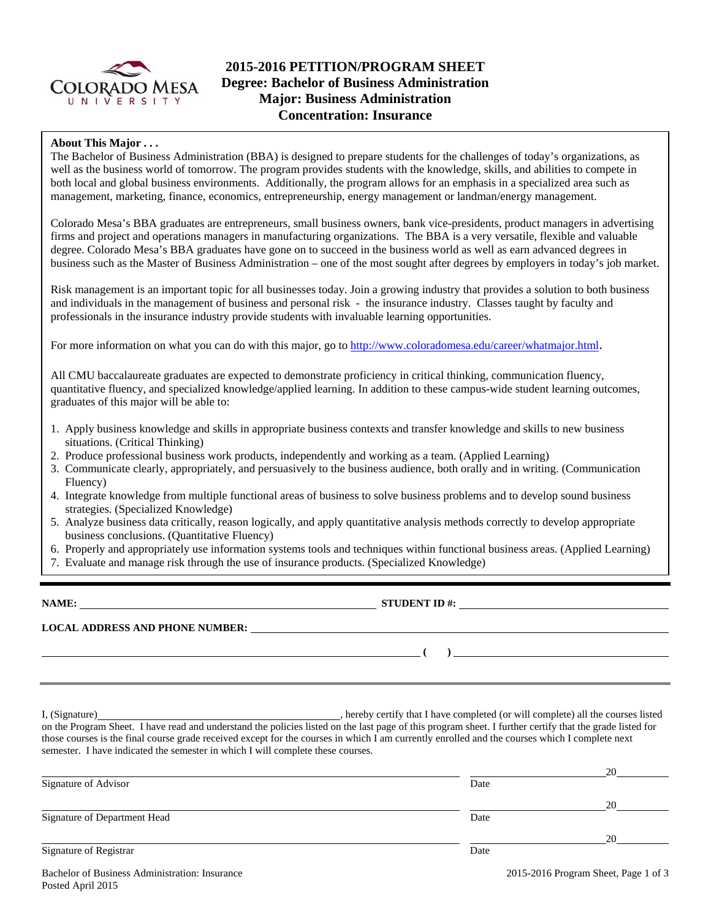

## **2015-2016 PETITION/PROGRAM SHEET Degree: Bachelor of Business Administration Major: Business Administration Concentration: Insurance**

### **About This Major . . .**

The Bachelor of Business Administration (BBA) is designed to prepare students for the challenges of today's organizations, as well as the business world of tomorrow. The program provides students with the knowledge, skills, and abilities to compete in both local and global business environments. Additionally, the program allows for an emphasis in a specialized area such as management, marketing, finance, economics, entrepreneurship, energy management or landman/energy management.

Colorado Mesa's BBA graduates are entrepreneurs, small business owners, bank vice-presidents, product managers in advertising firms and project and operations managers in manufacturing organizations. The BBA is a very versatile, flexible and valuable degree. Colorado Mesa's BBA graduates have gone on to succeed in the business world as well as earn advanced degrees in business such as the Master of Business Administration – one of the most sought after degrees by employers in today's job market.

Risk management is an important topic for all businesses today. Join a growing industry that provides a solution to both business and individuals in the management of business and personal risk - the insurance industry. Classes taught by faculty and professionals in the insurance industry provide students with invaluable learning opportunities.

For more information on what you can do with this major, go to http://www.coloradomesa.edu/career/whatmajor.html.

All CMU baccalaureate graduates are expected to demonstrate proficiency in critical thinking, communication fluency, quantitative fluency, and specialized knowledge/applied learning. In addition to these campus-wide student learning outcomes, graduates of this major will be able to:

- 1. Apply business knowledge and skills in appropriate business contexts and transfer knowledge and skills to new business situations. (Critical Thinking)
- 2. Produce professional business work products, independently and working as a team. (Applied Learning)
- 3. Communicate clearly, appropriately, and persuasively to the business audience, both orally and in writing. (Communication Fluency)
- 4. Integrate knowledge from multiple functional areas of business to solve business problems and to develop sound business strategies. (Specialized Knowledge)
- 5. Analyze business data critically, reason logically, and apply quantitative analysis methods correctly to develop appropriate business conclusions. (Quantitative Fluency)
- 6. Properly and appropriately use information systems tools and techniques within functional business areas. (Applied Learning)
- 7. Evaluate and manage risk through the use of insurance products. (Specialized Knowledge)

**NAME: STUDENT ID #: LOCAL ADDRESS AND PHONE NUMBER: ( )** 

I, (Signature) , hereby certify that I have completed (or will complete) all the courses listed on the Program Sheet. I have read and understand the policies listed on the last page of this program sheet. I further certify that the grade listed for those courses is the final course grade received except for the courses in which I am currently enrolled and the courses which I complete next semester. I have indicated the semester in which I will complete these courses.

|                                                |                                      | 20 |
|------------------------------------------------|--------------------------------------|----|
| Signature of Advisor                           | Date                                 |    |
|                                                |                                      | 20 |
| Signature of Department Head                   | Date                                 |    |
|                                                |                                      | 20 |
| Signature of Registrar                         | Date                                 |    |
| Bachelor of Business Administration: Insurance | 2015-2016 Program Sheet, Page 1 of 3 |    |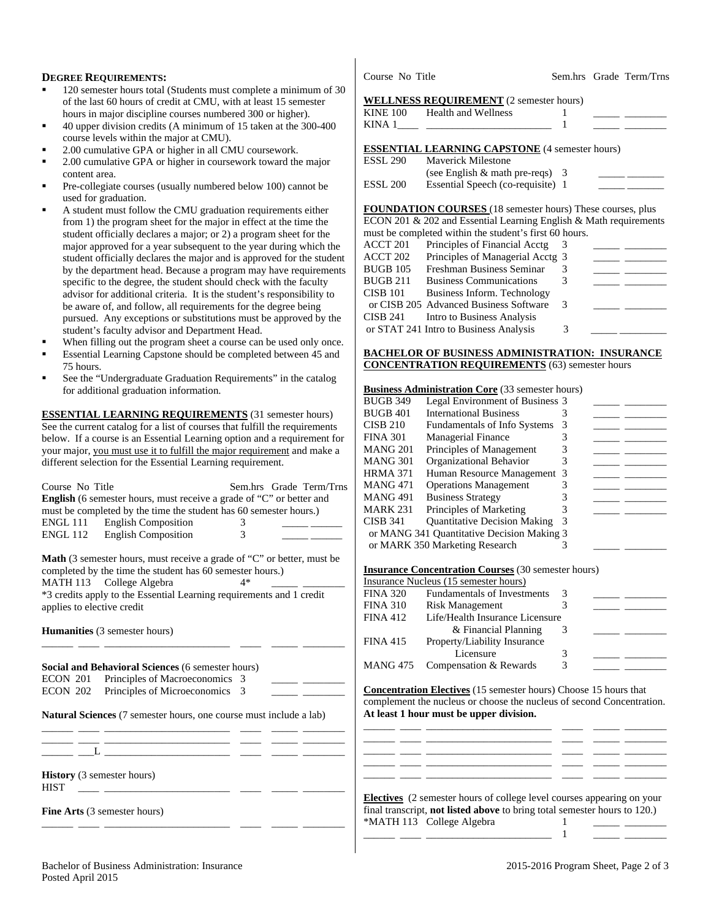### **DEGREE REQUIREMENTS:**

- 120 semester hours total (Students must complete a minimum of 30 of the last 60 hours of credit at CMU, with at least 15 semester hours in major discipline courses numbered 300 or higher).
- 40 upper division credits (A minimum of 15 taken at the 300-400 course levels within the major at CMU).
- 2.00 cumulative GPA or higher in all CMU coursework.
- 2.00 cumulative GPA or higher in coursework toward the major content area.
- Pre-collegiate courses (usually numbered below 100) cannot be used for graduation.
- A student must follow the CMU graduation requirements either from 1) the program sheet for the major in effect at the time the student officially declares a major; or 2) a program sheet for the major approved for a year subsequent to the year during which the student officially declares the major and is approved for the student by the department head. Because a program may have requirements specific to the degree, the student should check with the faculty advisor for additional criteria. It is the student's responsibility to be aware of, and follow, all requirements for the degree being pursued. Any exceptions or substitutions must be approved by the student's faculty advisor and Department Head.
- When filling out the program sheet a course can be used only once.
- Essential Learning Capstone should be completed between 45 and 75 hours.
- See the "Undergraduate Graduation Requirements" in the catalog for additional graduation information.

**ESSENTIAL LEARNING REQUIREMENTS** (31 semester hours) See the current catalog for a list of courses that fulfill the requirements below. If a course is an Essential Learning option and a requirement for your major, you must use it to fulfill the major requirement and make a different selection for the Essential Learning requirement.

|                                                                                                                                     | Trainan Resource Management                                                      |
|-------------------------------------------------------------------------------------------------------------------------------------|----------------------------------------------------------------------------------|
| Course No Title<br>Sem.hrs Grade Term/Trns                                                                                          | <b>MANG 471</b><br><b>Operations Management</b><br>3                             |
| English (6 semester hours, must receive a grade of "C" or better and                                                                | 3<br><b>MANG 491</b><br><b>Business Strategy</b>                                 |
| must be completed by the time the student has 60 semester hours.)                                                                   | Principles of Marketing<br><b>MARK 231</b><br>3                                  |
| <b>ENGL 111</b><br><b>English Composition</b>                                                                                       | <b>CISB 341</b><br><b>Quantitative Decision Making</b>                           |
| <b>English Composition</b><br><b>ENGL 112</b>                                                                                       | or MANG 341 Quantitative Decision Making 3                                       |
|                                                                                                                                     | or MARK 350 Marketing Research                                                   |
| <b>Math</b> (3 semester hours, must receive a grade of "C" or better, must be                                                       |                                                                                  |
| completed by the time the student has 60 semester hours.)                                                                           | <b>Insurance Concentration Courses</b> (30 semester hours)                       |
| MATH 113 College Algebra                                                                                                            | Insurance Nucleus (15 semester hours)                                            |
| *3 credits apply to the Essential Learning requirements and 1 credit                                                                | <b>FINA 320</b><br><b>Fundamentals of Investments</b><br>3                       |
| applies to elective credit                                                                                                          | <b>FINA 310</b><br><b>Risk Management</b><br>3                                   |
|                                                                                                                                     | <b>FINA 412</b><br>Life/Health Insurance Licensure                               |
| Humanities (3 semester hours)                                                                                                       | & Financial Planning<br>3                                                        |
|                                                                                                                                     | <b>FINA 415</b><br>Property/Liability Insurance                                  |
|                                                                                                                                     | Licensure<br>3                                                                   |
| Social and Behavioral Sciences (6 semester hours)                                                                                   | <b>MANG 475</b><br>Compensation & Rewards<br>3                                   |
| Principles of Macroeconomics 3<br><b>ECON 201</b>                                                                                   |                                                                                  |
| <b>ECON 202</b><br>Principles of Microeconomics 3                                                                                   | <b>Concentration Electives</b> (15 semester hours) Choose 15 hours that          |
|                                                                                                                                     | complement the nucleus or choose the nucleus of second Concentration.            |
| Natural Sciences (7 semester hours, one course must include a lab)                                                                  | At least 1 hour must be upper division.                                          |
|                                                                                                                                     |                                                                                  |
|                                                                                                                                     |                                                                                  |
| $\mathbf{L}$ and $\mathbf{L}$ and $\mathbf{L}$ and $\mathbf{L}$ and $\mathbf{L}$ and $\mathbf{L}$ and $\mathbf{L}$ and $\mathbf{L}$ |                                                                                  |
|                                                                                                                                     |                                                                                  |
| <b>History</b> (3 semester hours)<br><b>HIST</b>                                                                                    |                                                                                  |
|                                                                                                                                     | <b>Electives</b> (2 semester hours of college level courses appearing on your    |
|                                                                                                                                     | final transcript, <b>not listed above</b> to bring total semester hours to 120.) |
| Fine Arts (3 semester hours)                                                                                                        |                                                                                  |
|                                                                                                                                     | *MATH 113 College Algebra                                                        |
|                                                                                                                                     |                                                                                  |

Course No Title Sem.hrs Grade Term/Trns

## **WELLNESS REQUIREMENT**  $(2 \cdot 1 \cdot 1)$

|                 | WELLINESS REQUIREMENT (2 semester nours)                          |   |  |
|-----------------|-------------------------------------------------------------------|---|--|
| <b>KINE 100</b> | <b>Health and Wellness</b>                                        |   |  |
| KINA 1          |                                                                   |   |  |
|                 |                                                                   |   |  |
|                 | <b>ESSENTIAL LEARNING CAPSTONE</b> (4 semester hours)             |   |  |
| <b>ESSL 290</b> | Mayerick Milestone                                                |   |  |
|                 | (see English $&$ math pre-reqs) 3                                 |   |  |
| <b>ESSL 200</b> | Essential Speech (co-requisite) 1                                 |   |  |
|                 |                                                                   |   |  |
|                 | FOUNDATION COURSES (18 semester hours) These courses, plus        |   |  |
|                 | ECON 201 & 202 and Essential Learning English & Math requirements |   |  |
|                 | must be completed within the student's first 60 hours.            |   |  |
| ACCT 201        | Principles of Financial Acctg                                     | 3 |  |
| ACCT 202        | Principles of Managerial Acctg 3                                  |   |  |
| <b>BUGB 105</b> | Freshman Business Seminar                                         | 3 |  |
| <b>BUGB 211</b> | <b>Business Communications</b>                                    |   |  |

CISB 101 Business Inform. Technology or CISB 205 Advanced Business Software 3 \_\_\_\_\_ \_ CISB 241 Intro to Business Analysis or STAT 241 Intro to Business Analysis 3

#### **BACHELOR OF BUSINESS ADMINISTRATION: INSURANCE CONCENTRATION REQUIREMENTS** (63) semester hours

#### **Business Administration Core** (33 semester hours)

| <b>BUGB 349</b>                            | Legal Environment of Business 3     |   |  |  |  |
|--------------------------------------------|-------------------------------------|---|--|--|--|
| <b>BUGB 401</b>                            | <b>International Business</b>       |   |  |  |  |
| <b>CISB 210</b>                            | <b>Fundamentals of Info Systems</b> |   |  |  |  |
| <b>FINA 301</b>                            | <b>Managerial Finance</b>           |   |  |  |  |
| <b>MANG 201</b>                            | Principles of Management            |   |  |  |  |
| <b>MANG 301</b>                            | Organizational Behavior             |   |  |  |  |
| <b>HRMA 371</b>                            | Human Resource Management 3         |   |  |  |  |
| <b>MANG 471</b>                            | <b>Operations Management</b>        |   |  |  |  |
| <b>MANG 491</b>                            | <b>Business Strategy</b>            |   |  |  |  |
| <b>MARK 231</b>                            | Principles of Marketing             |   |  |  |  |
| <b>CISB 341</b>                            | <b>Quantitative Decision Making</b> | 3 |  |  |  |
| or MANG 341 Quantitative Decision Making 3 |                                     |   |  |  |  |
|                                            | or MARK 350 Marketing Research      |   |  |  |  |

#### **Insurance Concentration Courses** (30 semester hours)

|                 | Insurance Nucleus (15 semester hours) |   |  |  |
|-----------------|---------------------------------------|---|--|--|
| <b>FINA 320</b> | <b>Fundamentals of Investments</b>    | 3 |  |  |
| <b>FINA 310</b> | <b>Risk Management</b>                |   |  |  |
| <b>FINA 412</b> | Life/Health Insurance Licensure       |   |  |  |
|                 | & Financial Planning                  |   |  |  |
| <b>FINA 415</b> | Property/Liability Insurance          |   |  |  |
|                 | Licensure                             | 3 |  |  |
|                 | MANG 475 Compensation & Rewards       | 3 |  |  |
|                 |                                       |   |  |  |

| <b>Electives</b> (2 semester hours of college level courses appearing on your    |                           |  |  |  |  |  |
|----------------------------------------------------------------------------------|---------------------------|--|--|--|--|--|
| final transcript, <b>not listed above</b> to bring total semester hours to 120.) |                           |  |  |  |  |  |
|                                                                                  | *MATH 113 College Algebra |  |  |  |  |  |
|                                                                                  |                           |  |  |  |  |  |